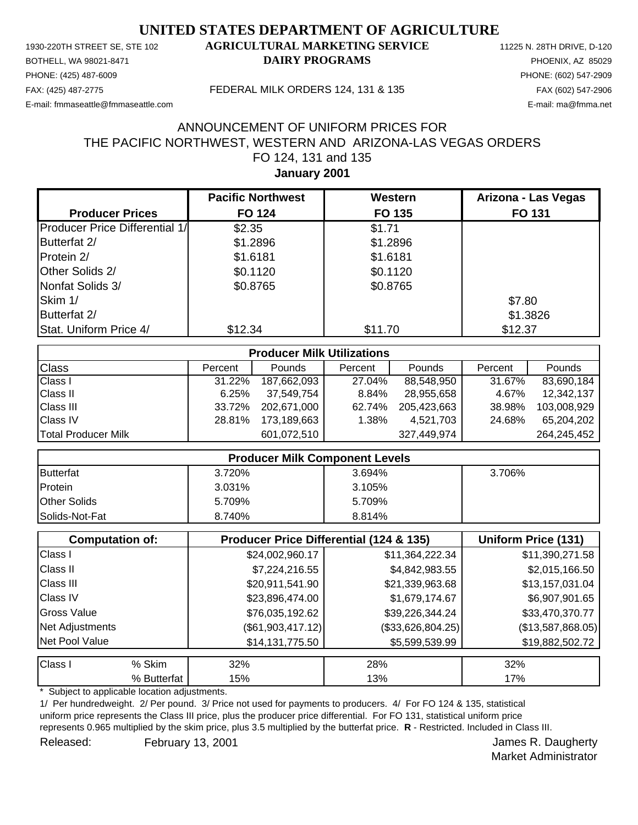PHONE: (425) 487-6009 PHONE: (602) 547-2909 E-mail: fmmaseattle@fmmaseattle.com E-mail: ma@fmma.net

### 1930-220TH STREET SE, STE 102 **AGRICULTURAL MARKETING SERVICE** 11225 N. 28TH DRIVE, D-120 BOTHELL, WA 98021-8471 **DAIRY PROGRAMS** PHOENIX, AZ 85029

#### FAX: (425) 487-2775 FEDERAL MILK ORDERS 124, 131 & 135 FAX (602) 547-2906

## **January 2001** FO 124, 131 and 135 THE PACIFIC NORTHWEST, WESTERN AND ARIZONA-LAS VEGAS ORDERS ANNOUNCEMENT OF UNIFORM PRICES FOR

|                                | <b>Pacific Northwest</b> | Western  | Arizona - Las Vegas |
|--------------------------------|--------------------------|----------|---------------------|
| <b>Producer Prices</b>         | <b>FO 124</b>            | FO 135   | FO 131              |
| Producer Price Differential 1/ | \$2.35                   | \$1.71   |                     |
| Butterfat 2/                   | \$1.2896                 | \$1.2896 |                     |
| Protein 2/                     | \$1.6181                 | \$1.6181 |                     |
| Other Solids 2/                | \$0.1120                 | \$0.1120 |                     |
| Nonfat Solids 3/               | \$0.8765                 | \$0.8765 |                     |
| Skim 1/                        |                          |          | \$7.80              |
| Butterfat 2/                   |                          |          | \$1.3826            |
| Stat. Uniform Price 4/         | \$12.34                  | \$11.70  | \$12.37             |

| <b>Producer Milk Utilizations</b> |         |             |         |             |         |               |
|-----------------------------------|---------|-------------|---------|-------------|---------|---------------|
| <b>Class</b>                      | Percent | Pounds      | Percent | Pounds      | Percent | <b>Pounds</b> |
| <b>Class I</b>                    | 31.22%  | 187,662,093 | 27.04%  | 88,548,950  | 31.67%  | 83,690,184    |
| <b>Class II</b>                   | 6.25%   | 37,549,754  | 8.84%   | 28,955,658  | 4.67%   | 12,342,137    |
| <b>Class III</b>                  | 33.72%  | 202.671.000 | 62.74%  | 205,423,663 | 38.98%  | 103.008.929   |
| <b>Class IV</b>                   | 28.81%  | 173,189,663 | 1.38%   | 4,521,703   | 24.68%  | 65,204,202    |
| Total Producer Milk               |         | 601,072,510 |         | 327,449,974 |         | 264,245,452   |

| <b>Producer Milk Component Levels</b> |        |        |        |
|---------------------------------------|--------|--------|--------|
| Butterfat                             | 3.720% | 3.694% | 3.706% |
| Protein                               | 3.031% | 3.105% |        |
| <b>Other Solids</b>                   | 5.709% | 5.709% |        |
| Solids-Not-Fat                        | 8.740% | 8.814% |        |

|                    | <b>Computation of:</b> | <b>Producer Price Differential (124 &amp; 135)</b> | Uniform Price (131) |                   |
|--------------------|------------------------|----------------------------------------------------|---------------------|-------------------|
| Class I            |                        | \$24,002,960.17                                    | \$11,364,222.34     | \$11,390,271.58   |
| <b>Class II</b>    |                        | \$7,224,216.55                                     | \$4,842,983.55      | \$2,015,166.50    |
| <b>Class III</b>   |                        | \$20,911,541.90                                    | \$21,339,963.68     | \$13,157,031.04   |
| <b>Class IV</b>    |                        | \$23,896,474.00                                    | \$1,679,174.67      | \$6,907,901.65    |
| <b>Gross Value</b> |                        | \$76,035,192.62                                    | \$39,226,344.24     | \$33,470,370.77   |
| Net Adjustments    |                        | (\$61,903,417.12)                                  | (\$33,626,804.25)   | (\$13,587,868.05) |
| Net Pool Value     |                        | \$14,131,775.50                                    | \$5,599,539.99      | \$19,882,502.72   |
| Class I            | % Skim                 | 32%                                                | 28%                 | 32%               |
|                    | % Butterfat            | 15%                                                | 13%                 | 17%               |

Subject to applicable location adjustments.

1/ Per hundredweight. 2/ Per pound. 3/ Price not used for payments to producers. 4/ For FO 124 & 135, statistical uniform price represents the Class III price, plus the producer price differential. For FO 131, statistical uniform price represents 0.965 multiplied by the skim price, plus 3.5 multiplied by the butterfat price. **R** - Restricted. Included in Class III. Released: February 13, 2001 Contract Contract Contract Contract Contract Contract Contract Contract Contract Contract Contract Contract Contract Contract Contract Contract Contract Contract Contract Contract Contract Contr

Market Administrator

February 13, 2001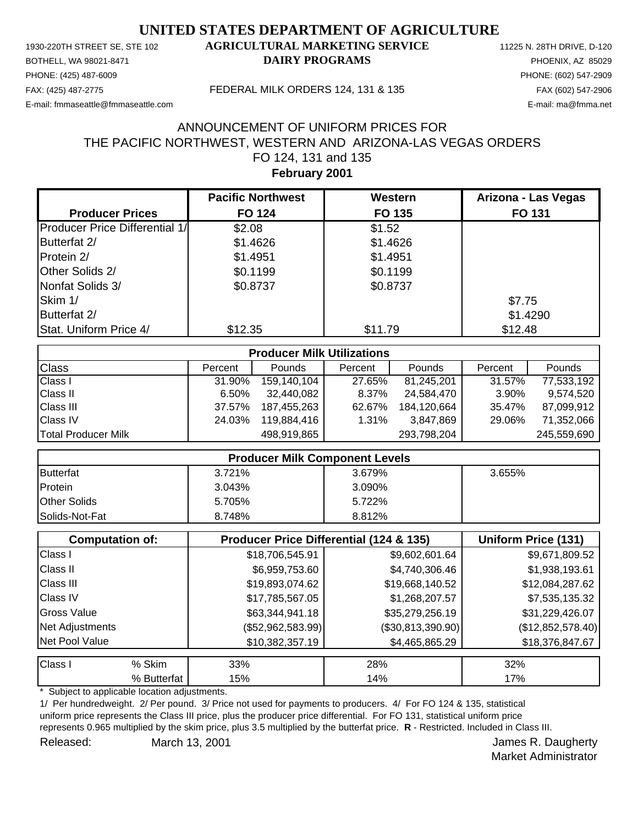PHONE: (425) 487-6009 PHONE: (602) 547-2909 E-mail: fmmaseattle@fmmaseattle.com E-mail: ma@fmma.net

### 1930-220TH STREET SE, STE 102 **AGRICULTURAL MARKETING SERVICE** 11225 N. 28TH DRIVE, D-120 BOTHELL, WA 98021-8471 **DAIRY PROGRAMS** PHOENIX, AZ 85029

#### FAX: (425) 487-2775 FEDERAL MILK ORDERS 124, 131 & 135 FAX (602) 547-2906

# **February 2001** FO 124, 131 and 135 THE PACIFIC NORTHWEST, WESTERN AND ARIZONA-LAS VEGAS ORDERS ANNOUNCEMENT OF UNIFORM PRICES FOR

|                                       | <b>Pacific Northwest</b> | Western  | Arizona - Las Vegas |
|---------------------------------------|--------------------------|----------|---------------------|
| <b>Producer Prices</b>                | <b>FO 124</b>            | FO 135   | <b>FO 131</b>       |
| <b>Producer Price Differential 1/</b> | \$2.08                   | \$1.52   |                     |
| Butterfat 2/                          | \$1.4626                 | \$1.4626 |                     |
| Protein 2/                            | \$1.4951                 | \$1.4951 |                     |
| Other Solids 2/                       | \$0.1199                 | \$0.1199 |                     |
| Nonfat Solids 3/                      | \$0.8737                 | \$0.8737 |                     |
| Skim 1/                               |                          |          | \$7.75              |
| Butterfat 2/                          |                          |          | \$1.4290            |
| Stat. Uniform Price 4/                | \$12.35                  | \$11.79  | \$12.48             |

| <b>Producer Milk Utilizations</b> |         |             |         |             |         |               |
|-----------------------------------|---------|-------------|---------|-------------|---------|---------------|
| <b>Class</b>                      | Percent | Pounds      | Percent | Pounds      | Percent | <b>Pounds</b> |
| <b>Class I</b>                    | 31.90%  | 159,140,104 | 27.65%  | 81,245,201  | 31.57%  | 77,533,192    |
| <b>Class II</b>                   | 6.50%   | 32,440,082  | 8.37%   | 24,584,470  | 3.90%   | 9.574.520     |
| <b>Class III</b>                  | 37.57%  | 187,455,263 | 62.67%  | 184,120,664 | 35.47%  | 87,099,912    |
| <b>Class IV</b>                   | 24.03%  | 119,884,416 | 1.31%   | 3,847,869   | 29.06%  | 71,352,066    |
| Total Producer Milk               |         | 498,919,865 |         | 293,798,204 |         | 245,559,690   |

| <b>Producer Milk Component Levels</b> |        |        |        |
|---------------------------------------|--------|--------|--------|
| Butterfat                             | 3.721% | 3.679% | 3.655% |
| Protein                               | 3.043% | 3.090% |        |
| <b>Other Solids</b>                   | 5.705% | 5.722% |        |
| Solids-Not-Fat                        | 8.748% | 8.812% |        |

|                    | <b>Computation of:</b> | <b>Producer Price Differential (124 &amp; 135)</b> | Uniform Price (131) |                   |
|--------------------|------------------------|----------------------------------------------------|---------------------|-------------------|
| Class I            |                        | \$18,706,545.91                                    | \$9,602,601.64      | \$9,671,809.52    |
| <b>Class II</b>    |                        | \$6,959,753.60                                     | \$4,740,306.46      | \$1,938,193.61    |
| <b>Class III</b>   |                        | \$19,893,074.62                                    | \$19,668,140.52     | \$12,084,287.62   |
| <b>Class IV</b>    |                        | \$17,785,567.05                                    | \$1,268,207.57      | \$7,535,135.32    |
| <b>Gross Value</b> |                        | \$63,344,941.18                                    | \$35,279,256.19     | \$31,229,426.07   |
| Net Adjustments    |                        | $(\$52,962,583.99)$                                | $(\$30,813,390.90)$ | (\$12,852,578.40) |
| Net Pool Value     |                        | \$10,382,357.19                                    | \$4,465,865.29      | \$18,376,847.67   |
| Class I            | % Skim                 | 33%                                                | 28%                 | 32%               |
|                    | % Butterfat            | 15%                                                | 14%                 | 17%               |

Subject to applicable location adjustments.

1/ Per hundredweight. 2/ Per pound. 3/ Price not used for payments to producers. 4/ For FO 124 & 135, statistical uniform price represents the Class III price, plus the producer price differential. For FO 131, statistical uniform price represents 0.965 multiplied by the skim price, plus 3.5 multiplied by the butterfat price. **R** - Restricted. Included in Class III. Released: March 13, 2001 **National Execution Control Control Control Control Control Control Control Control Control Control Control Control Control Control Control Control Control Control Control Control Control Control C** 

Market Administrator

March 13, 2001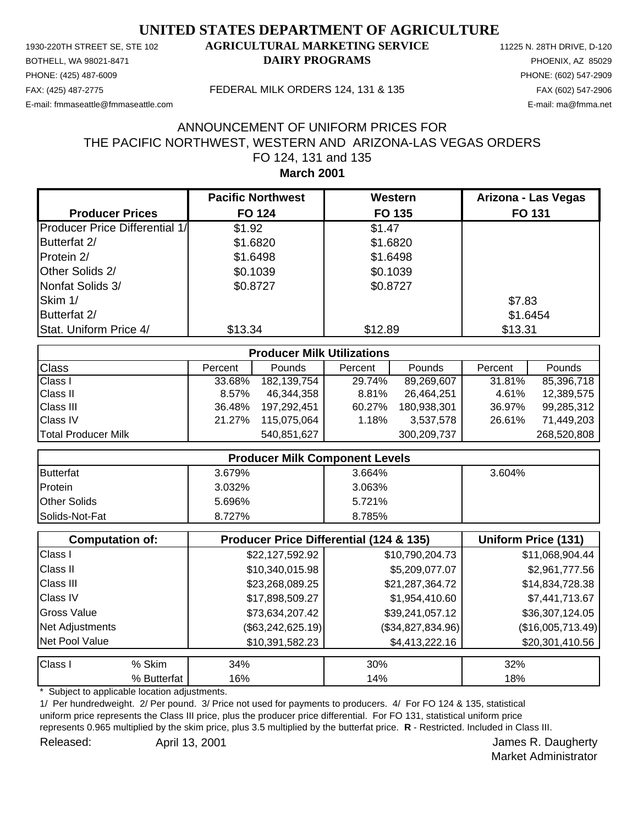PHONE: (425) 487-6009 PHONE: (602) 547-2909 E-mail: fmmaseattle@fmmaseattle.com E-mail: ma@fmma.net

### 1930-220TH STREET SE, STE 102 **AGRICULTURAL MARKETING SERVICE** 11225 N. 28TH DRIVE, D-120 BOTHELL, WA 98021-8471 **DAIRY PROGRAMS** PHOENIX, AZ 85029

#### FAX: (425) 487-2775 FEDERAL MILK ORDERS 124, 131 & 135 FAX (602) 547-2906

### **March 2001** FO 124, 131 and 135 THE PACIFIC NORTHWEST, WESTERN AND ARIZONA-LAS VEGAS ORDERS ANNOUNCEMENT OF UNIFORM PRICES FOR

|                                | <b>Pacific Northwest</b> | Western  | Arizona - Las Vegas |
|--------------------------------|--------------------------|----------|---------------------|
| <b>Producer Prices</b>         | <b>FO 124</b>            | FO 135   | <b>FO 131</b>       |
| Producer Price Differential 1/ | \$1.92                   | \$1.47   |                     |
| Butterfat 2/                   | \$1.6820                 | \$1.6820 |                     |
| Protein 2/                     | \$1.6498                 | \$1.6498 |                     |
| Other Solids 2/                | \$0.1039                 | \$0.1039 |                     |
| Nonfat Solids 3/               | \$0.8727                 | \$0.8727 |                     |
| Skim 1/                        |                          |          | \$7.83              |
| Butterfat 2/                   |                          |          | \$1.6454            |
| Stat. Uniform Price 4/         | \$13.34                  | \$12.89  | \$13.31             |

| <b>Producer Milk Utilizations</b> |         |             |         |             |         |               |
|-----------------------------------|---------|-------------|---------|-------------|---------|---------------|
| <b>Class</b>                      | Percent | Pounds      | Percent | Pounds      | Percent | <b>Pounds</b> |
| <b>Class I</b>                    | 33.68%  | 182,139,754 | 29.74%  | 89,269,607  | 31.81%  | 85,396,718    |
| <b>Class II</b>                   | 8.57%   | 46.344.358  | 8.81%   | 26,464,251  | 4.61%   | 12,389,575    |
| <b>Class III</b>                  | 36.48%  | 197.292.451 | 60.27%  | 180,938,301 | 36.97%  | 99,285,312    |
| <b>Class IV</b>                   | 21.27%  | 115,075,064 | 1.18%   | 3,537,578   | 26.61%  | 71,449,203    |
| Total Producer Milk               |         | 540,851,627 |         | 300,209,737 |         | 268,520,808   |

| <b>Producer Milk Component Levels</b> |        |        |        |
|---------------------------------------|--------|--------|--------|
| Butterfat                             | 3.679% | 3.664% | 3.604% |
| Protein                               | 3.032% | 3.063% |        |
| <b>Other Solids</b>                   | 5.696% | 5.721% |        |
| <b>Solids-Not-Fat</b>                 | 8.727% | 8.785% |        |

|                    | <b>Computation of:</b> | Producer Price Differential (124 & 135) | Uniform Price (131) |                   |
|--------------------|------------------------|-----------------------------------------|---------------------|-------------------|
| Class I            |                        | \$22,127,592.92                         | \$10,790,204.73     | \$11,068,904.44   |
| <b>Class II</b>    |                        | \$10,340,015.98                         | \$5,209,077.07      | \$2,961,777.56    |
| <b>Class III</b>   |                        | \$23,268,089.25                         | \$21,287,364.72     | \$14,834,728.38   |
| <b>Class IV</b>    |                        | \$17,898,509.27                         | \$1,954,410.60      | \$7,441,713.67    |
| <b>Gross Value</b> |                        | \$73,634,207.42                         | \$39,241,057.12     | \$36,307,124.05   |
| Net Adjustments    |                        | $(\$63,242,625.19)$                     | (\$34,827,834.96)   | (\$16,005,713.49) |
| Net Pool Value     |                        | \$10,391,582.23                         | \$4,413,222.16      | \$20,301,410.56   |
| Class I            | % Skim                 | 34%                                     | 30%                 | 32%               |
|                    | % Butterfat            | 16%                                     | 14%                 | 18%               |

Subject to applicable location adjustments.

1/ Per hundredweight. 2/ Per pound. 3/ Price not used for payments to producers. 4/ For FO 124 & 135, statistical uniform price represents the Class III price, plus the producer price differential. For FO 131, statistical uniform price represents 0.965 multiplied by the skim price, plus 3.5 multiplied by the butterfat price. **R** - Restricted. Included in Class III. Released: April 13, 2001 Contract Contract Contract April 13, 2001 April 13, 2001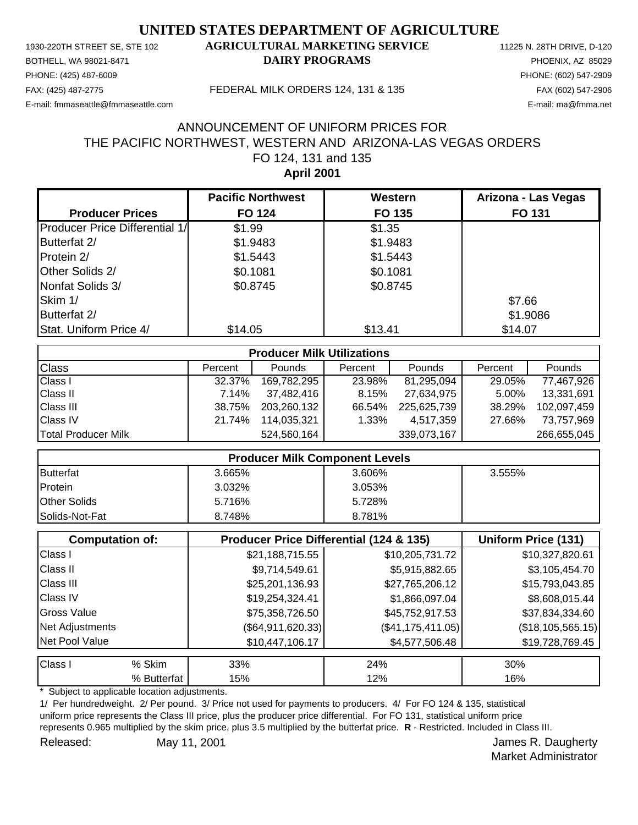PHONE: (425) 487-6009 PHONE: (602) 547-2909 E-mail: fmmaseattle@fmmaseattle.com E-mail: ma@fmma.net

### 1930-220TH STREET SE, STE 102 **AGRICULTURAL MARKETING SERVICE** 11225 N. 28TH DRIVE, D-120 BOTHELL, WA 98021-8471 **DAIRY PROGRAMS** PHOENIX, AZ 85029

#### FAX: (425) 487-2775 FEDERAL MILK ORDERS 124, 131 & 135 FAX (602) 547-2906

## **April 2001** FO 124, 131 and 135 THE PACIFIC NORTHWEST, WESTERN AND ARIZONA-LAS VEGAS ORDERS ANNOUNCEMENT OF UNIFORM PRICES FOR

|                                       | <b>Pacific Northwest</b> | Western  | Arizona - Las Vegas |
|---------------------------------------|--------------------------|----------|---------------------|
| <b>Producer Prices</b>                | <b>FO 124</b>            | FO 135   | <b>FO 131</b>       |
| <b>Producer Price Differential 1/</b> | \$1.99                   | \$1.35   |                     |
| Butterfat 2/                          | \$1.9483                 | \$1.9483 |                     |
| Protein 2/                            | \$1.5443                 | \$1.5443 |                     |
| Other Solids 2/                       | \$0.1081                 | \$0.1081 |                     |
| Nonfat Solids 3/                      | \$0.8745                 | \$0.8745 |                     |
| Skim 1/                               |                          |          | \$7.66              |
| Butterfat 2/                          |                          |          | \$1.9086            |
| Stat. Uniform Price 4/                | \$14.05                  | \$13.41  | \$14.07             |

| <b>Producer Milk Utilizations</b> |         |               |         |               |         |             |
|-----------------------------------|---------|---------------|---------|---------------|---------|-------------|
| <b>Class</b>                      | Percent | <b>Pounds</b> | Percent | <b>Pounds</b> | Percent | Pounds      |
| <b>Class I</b>                    | 32.37%  | 169,782,295   | 23.98%  | 81,295,094    | 29.05%  | 77,467,926  |
| <b>Class II</b>                   | 7.14%   | 37,482,416    | 8.15%   | 27,634,975    | 5.00%   | 13,331,691  |
| <b>Class III</b>                  | 38.75%  | 203,260,132   | 66.54%  | 225,625,739   | 38.29%  | 102,097,459 |
| <b>Class IV</b>                   | 21.74%  | 114,035,321   | 1.33%   | 4,517,359     | 27.66%  | 73,757,969  |
| Total Producer Milk               |         | 524,560,164   |         | 339,073,167   |         | 266,655,045 |

| <b>Producer Milk Component Levels</b> |        |        |        |  |
|---------------------------------------|--------|--------|--------|--|
| Butterfat                             | 3.665% | 3.606% | 3.555% |  |
| Protein                               | 3.032% | 3.053% |        |  |
| <b>Other Solids</b>                   | 5.716% | 5.728% |        |  |
| Solids-Not-Fat                        | 8.748% | 8.781% |        |  |

|                    | <b>Computation of:</b> | <b>Producer Price Differential (124 &amp; 135)</b> | Uniform Price (131) |                   |
|--------------------|------------------------|----------------------------------------------------|---------------------|-------------------|
| Class I            |                        | \$21,188,715.55                                    | \$10,205,731.72     | \$10,327,820.61   |
| <b>Class II</b>    |                        | \$9,714,549.61                                     | \$5,915,882.65      | \$3,105,454.70    |
| <b>Class III</b>   |                        | \$25,201,136.93                                    | \$27,765,206.12     | \$15,793,043.85   |
| <b>Class IV</b>    |                        | \$19,254,324.41                                    | \$1,866,097.04      | \$8,608,015.44    |
| <b>Gross Value</b> |                        | \$75,358,726.50                                    | \$45,752,917.53     | \$37,834,334.60   |
| Net Adjustments    |                        | $(\$64,911,620.33)$                                | (\$41,175,411.05)   | (\$18,105,565.15) |
| Net Pool Value     |                        | \$10,447,106.17                                    | \$4,577,506.48      | \$19,728,769.45   |
| Class I            | % Skim                 | 33%                                                | 24%                 | 30%               |
|                    | % Butterfat            | 15%                                                | 12%                 | 16%               |

Subject to applicable location adjustments.

1/ Per hundredweight. 2/ Per pound. 3/ Price not used for payments to producers. 4/ For FO 124 & 135, statistical uniform price represents the Class III price, plus the producer price differential. For FO 131, statistical uniform price represents 0.965 multiplied by the skim price, plus 3.5 multiplied by the butterfat price. **R** - Restricted. Included in Class III. Released: May 11, 2001 **Accord Participate 1:** An alternative May 11, 2001 May 11, 2001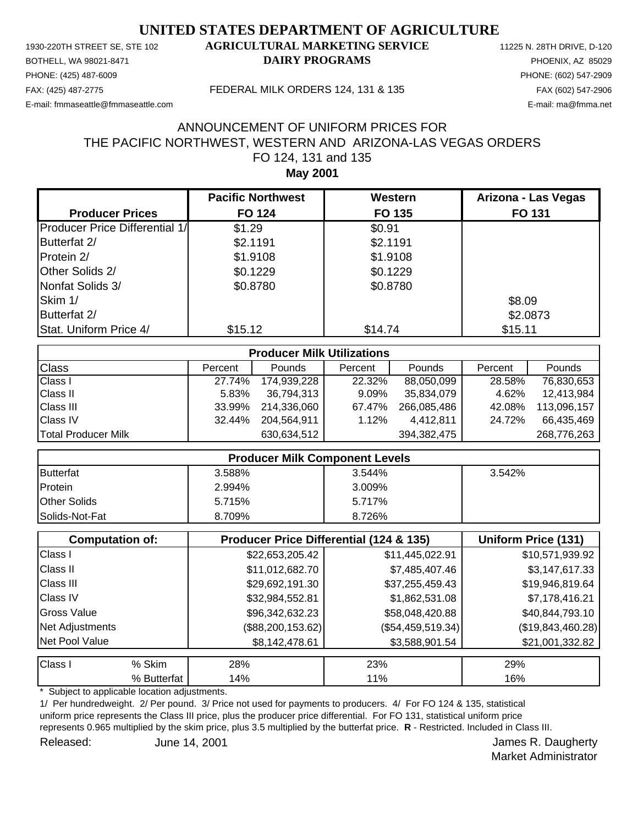PHONE: (425) 487-6009 PHONE: (602) 547-2909 E-mail: fmmaseattle@fmmaseattle.com E-mail: ma@fmma.net

### 1930-220TH STREET SE, STE 102 **AGRICULTURAL MARKETING SERVICE** 11225 N. 28TH DRIVE, D-120 BOTHELL, WA 98021-8471 **DAIRY PROGRAMS** PHOENIX, AZ 85029

#### FAX: (425) 487-2775 FEDERAL MILK ORDERS 124, 131 & 135 FAX (602) 547-2906

## **May 2001** FO 124, 131 and 135 THE PACIFIC NORTHWEST, WESTERN AND ARIZONA-LAS VEGAS ORDERS ANNOUNCEMENT OF UNIFORM PRICES FOR

|                                       | <b>Pacific Northwest</b> | Western  | Arizona - Las Vegas |
|---------------------------------------|--------------------------|----------|---------------------|
| <b>Producer Prices</b>                | <b>FO 124</b>            | FO 135   | <b>FO 131</b>       |
| <b>Producer Price Differential 1/</b> | \$1.29                   | \$0.91   |                     |
| Butterfat 2/                          | \$2.1191                 | \$2.1191 |                     |
| Protein 2/                            | \$1.9108                 | \$1.9108 |                     |
| Other Solids 2/                       | \$0.1229                 | \$0.1229 |                     |
| Nonfat Solids 3/                      | \$0.8780                 | \$0.8780 |                     |
| Skim 1/                               |                          |          | \$8.09              |
| Butterfat 2/                          |                          |          | \$2.0873            |
| Stat. Uniform Price 4/                | \$15.12                  | \$14.74  | \$15.11             |

| <b>Producer Milk Utilizations</b> |         |               |         |             |         |               |
|-----------------------------------|---------|---------------|---------|-------------|---------|---------------|
| <b>Class</b>                      | Percent | <b>Pounds</b> | Percent | Pounds      | Percent | <b>Pounds</b> |
| <b>Class I</b>                    | 27.74%  | 174,939,228   | 22.32%  | 88,050,099  | 28.58%  | 76,830,653    |
| <b>Class II</b>                   | 5.83%   | 36,794,313    | 9.09%   | 35,834,079  | 4.62%   | 12,413,984    |
| <b>Class III</b>                  | 33.99%  | 214,336,060   | 67.47%  | 266,085,486 | 42.08%  | 113.096.157   |
| <b>Class IV</b>                   | 32.44%  | 204,564,911   | 1.12%   | 4,412,811   | 24.72%  | 66,435,469    |
| <b>Total Producer Milk</b>        |         | 630,634,512   |         | 394,382,475 |         | 268,776,263   |

| <b>Producer Milk Component Levels</b> |        |        |        |  |
|---------------------------------------|--------|--------|--------|--|
| Butterfat                             | 3.588% | 3.544% | 3.542% |  |
| Protein                               | 2.994% | 3.009% |        |  |
| <b>Other Solids</b>                   | 5.715% | 5.717% |        |  |
| Solids-Not-Fat                        | 8.709% | 8.726% |        |  |

|                    | <b>Computation of:</b> | <b>Producer Price Differential (124 &amp; 135)</b> | Uniform Price (131) |                   |
|--------------------|------------------------|----------------------------------------------------|---------------------|-------------------|
| Class I            |                        | \$22,653,205.42                                    | \$11,445,022.91     | \$10,571,939.92   |
| <b>Class II</b>    |                        | \$11,012,682.70                                    | \$7,485,407.46      | \$3,147,617.33    |
| <b>Class III</b>   |                        | \$29,692,191.30                                    | \$37,255,459.43     | \$19,946,819.64   |
| <b>Class IV</b>    |                        | \$32,984,552.81                                    | \$1,862,531.08      | \$7,178,416.21    |
| <b>Gross Value</b> |                        | \$96,342,632.23                                    | \$58,048,420.88     | \$40,844,793.10   |
| Net Adjustments    |                        | (\$88, 200, 153.62)                                | $(\$54,459,519.34)$ | (\$19,843,460.28) |
| Net Pool Value     |                        | \$8,142,478.61                                     | \$3,588,901.54      | \$21,001,332.82   |
| Class I            | % Skim                 | 28%                                                | 23%                 | 29%               |
|                    | % Butterfat            | 14%                                                | 11%                 | 16%               |

Subject to applicable location adjustments.

1/ Per hundredweight. 2/ Per pound. 3/ Price not used for payments to producers. 4/ For FO 124 & 135, statistical uniform price represents the Class III price, plus the producer price differential. For FO 131, statistical uniform price represents 0.965 multiplied by the skim price, plus 3.5 multiplied by the butterfat price. **R** - Restricted. Included in Class III. Released: June 14, 2001 **Contract Contract Contract Contract Contract Contract Contract Contract Contract Contract Contract Contract Contract Contract Contract Contract Contract Contract Contract Contract Contract Contract** June 14, 2001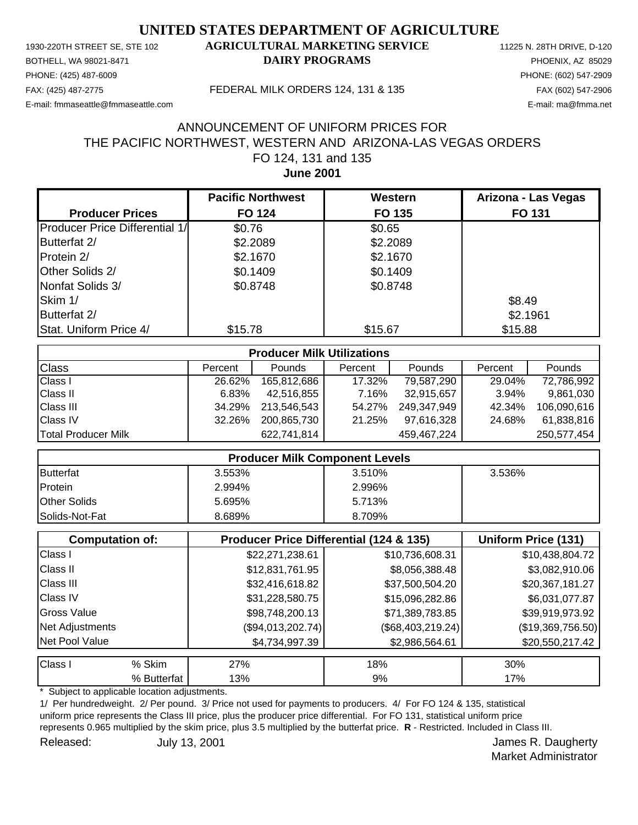PHONE: (425) 487-6009 PHONE: (602) 547-2909 E-mail: fmmaseattle@fmmaseattle.com E-mail: ma@fmma.net

### 1930-220TH STREET SE, STE 102 **AGRICULTURAL MARKETING SERVICE** 11225 N. 28TH DRIVE, D-120 BOTHELL, WA 98021-8471 **DAIRY PROGRAMS** PHOENIX, AZ 85029

#### FAX: (425) 487-2775 FEDERAL MILK ORDERS 124, 131 & 135 FAX (602) 547-2906

### **June 2001** FO 124, 131 and 135 THE PACIFIC NORTHWEST, WESTERN AND ARIZONA-LAS VEGAS ORDERS ANNOUNCEMENT OF UNIFORM PRICES FOR

|                                       | <b>Pacific Northwest</b> | Western  | Arizona - Las Vegas |
|---------------------------------------|--------------------------|----------|---------------------|
| <b>Producer Prices</b>                | <b>FO 124</b>            | FO 135   | <b>FO 131</b>       |
| <b>Producer Price Differential 1/</b> | \$0.76                   | \$0.65   |                     |
| Butterfat 2/                          | \$2.2089                 | \$2.2089 |                     |
| Protein 2/                            | \$2.1670                 | \$2.1670 |                     |
| Other Solids 2/                       | \$0.1409                 | \$0.1409 |                     |
| Nonfat Solids 3/                      | \$0.8748                 | \$0.8748 |                     |
| Skim 1/                               |                          |          | \$8.49              |
| Butterfat 2/                          |                          |          | \$2.1961            |
| Stat. Uniform Price 4/                | \$15.78                  | \$15.67  | \$15.88             |

| <b>Producer Milk Utilizations</b> |         |               |         |             |         |               |
|-----------------------------------|---------|---------------|---------|-------------|---------|---------------|
| <b>Class</b>                      | Percent | <b>Pounds</b> | Percent | Pounds      | Percent | <b>Pounds</b> |
| <b>Class I</b>                    | 26.62%  | 165,812,686   | 17.32%  | 79,587,290  | 29.04%  | 72,786,992    |
| <b>Class II</b>                   | 6.83%   | 42,516,855    | 7.16%   | 32,915,657  | 3.94%   | 9,861,030     |
| <b>Class III</b>                  | 34.29%  | 213,546,543   | 54.27%  | 249,347,949 | 42.34%  | 106,090,616   |
| <b>Class IV</b>                   | 32.26%  | 200,865,730   | 21.25%  | 97,616,328  | 24.68%  | 61,838,816    |
| Total Producer Milk               |         | 622,741,814   |         | 459,467,224 |         | 250,577,454   |

| <b>Producer Milk Component Levels</b> |        |        |        |  |
|---------------------------------------|--------|--------|--------|--|
| Butterfat                             | 3.553% | 3.510% | 3.536% |  |
| <b>Protein</b>                        | 2.994% | 2.996% |        |  |
| <b>Other Solids</b>                   | 5.695% | 5.713% |        |  |
| <b>Solids-Not-Fat</b>                 | 8.689% | 8.709% |        |  |

|                  | <b>Computation of:</b> | <b>Producer Price Differential (124 &amp; 135)</b> | Uniform Price (131) |                   |
|------------------|------------------------|----------------------------------------------------|---------------------|-------------------|
| Class I          |                        | \$22,271,238.61                                    | \$10,736,608.31     | \$10,438,804.72   |
| <b>Class II</b>  |                        | \$12,831,761.95                                    | \$8,056,388.48      | \$3,082,910.06    |
| <b>Class III</b> |                        | \$32,416,618.82                                    | \$37,500,504.20     | \$20,367,181.27   |
| <b>Class IV</b>  |                        | \$31,228,580.75                                    | \$15,096,282.86     | \$6,031,077.87    |
| Gross Value      |                        | \$98,748,200.13                                    | \$71,389,783.85     | \$39,919,973.92   |
| Net Adjustments  |                        | (\$94,013,202.74)                                  | $(\$68,403,219.24)$ | (\$19,369,756.50) |
| Net Pool Value   |                        | \$4,734,997.39                                     | \$2,986,564.61      | \$20,550,217.42   |
| Class I          | % Skim                 | 27%                                                | 18%                 | 30%               |
|                  | % Butterfat            | 13%                                                | 9%                  | 17%               |

Subject to applicable location adjustments.

1/ Per hundredweight. 2/ Per pound. 3/ Price not used for payments to producers. 4/ For FO 124 & 135, statistical uniform price represents the Class III price, plus the producer price differential. For FO 131, statistical uniform price represents 0.965 multiplied by the skim price, plus 3.5 multiplied by the butterfat price. **R** - Restricted. Included in Class III. Released: July 13, 2001 **Released:** July 13, 2001 July 13, 2001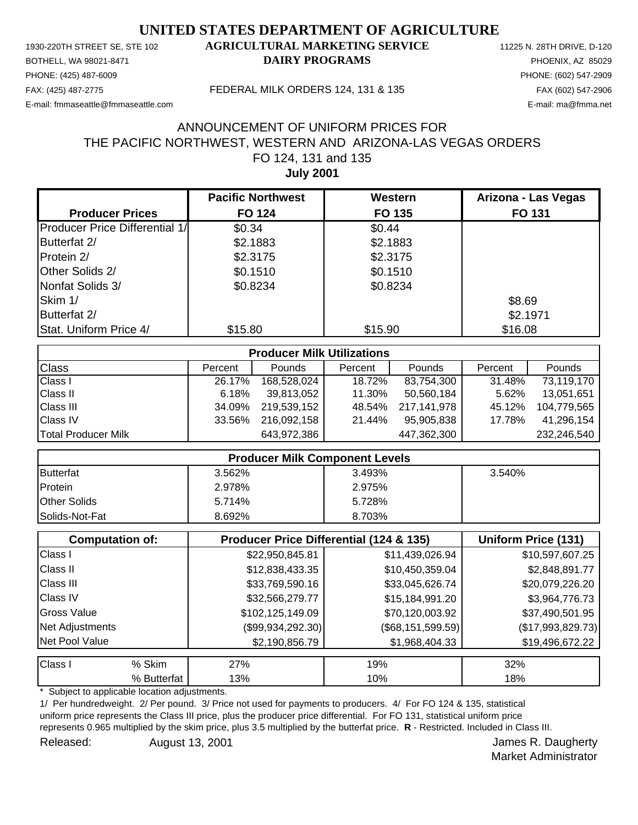PHONE: (425) 487-6009 PHONE: (602) 547-2909 E-mail: fmmaseattle@fmmaseattle.com E-mail: ma@fmma.net

### 1930-220TH STREET SE, STE 102 **AGRICULTURAL MARKETING SERVICE** 11225 N. 28TH DRIVE, D-120 BOTHELL, WA 98021-8471 **DAIRY PROGRAMS** PHOENIX, AZ 85029

#### FAX: (425) 487-2775 FEDERAL MILK ORDERS 124, 131 & 135 FAX (602) 547-2906

## **July 2001** FO 124, 131 and 135 THE PACIFIC NORTHWEST, WESTERN AND ARIZONA-LAS VEGAS ORDERS ANNOUNCEMENT OF UNIFORM PRICES FOR

|                                       | <b>Pacific Northwest</b> | Western  | Arizona - Las Vegas |
|---------------------------------------|--------------------------|----------|---------------------|
| <b>Producer Prices</b>                | <b>FO 124</b>            | FO 135   | <b>FO 131</b>       |
| <b>Producer Price Differential 1/</b> | \$0.34                   | \$0.44   |                     |
| Butterfat 2/                          | \$2.1883                 | \$2.1883 |                     |
| Protein 2/                            | \$2.3175                 | \$2.3175 |                     |
| Other Solids 2/                       | \$0.1510                 | \$0.1510 |                     |
| Nonfat Solids 3/                      | \$0.8234                 | \$0.8234 |                     |
| Skim 1/                               |                          |          | \$8.69              |
| Butterfat 2/                          |                          |          | \$2.1971            |
| Stat. Uniform Price 4/                | \$15.80                  | \$15.90  | \$16.08             |

| <b>Producer Milk Utilizations</b> |         |             |         |             |         |               |
|-----------------------------------|---------|-------------|---------|-------------|---------|---------------|
| <b>Class</b>                      | Percent | Pounds      | Percent | Pounds      | Percent | <b>Pounds</b> |
| <b>Class I</b>                    | 26.17%  | 168,528,024 | 18.72%  | 83,754,300  | 31.48%  | 73,119,170    |
| <b>Class II</b>                   | 6.18%   | 39,813,052  | 11.30%  | 50,560,184  | 5.62%   | 13,051,651    |
| <b>Class III</b>                  | 34.09%  | 219,539,152 | 48.54%  | 217,141,978 | 45.12%  | 104,779,565   |
| <b>Class IV</b>                   | 33.56%  | 216,092,158 | 21.44%  | 95,905,838  | 17.78%  | 41,296,154    |
| Total Producer Milk               |         | 643,972,386 |         | 447,362,300 |         | 232,246,540   |

| <b>Producer Milk Component Levels</b> |        |        |        |
|---------------------------------------|--------|--------|--------|
| Butterfat                             | 3.562% | 3.493% | 3.540% |
| Protein                               | 2.978% | 2.975% |        |
| <b>Other Solids</b>                   | 5.714% | 5.728% |        |
| Solids-Not-Fat                        | 8.692% | 8.703% |        |

|                    | <b>Computation of:</b> | Producer Price Differential (124 & 135) | Uniform Price (131)   |                   |
|--------------------|------------------------|-----------------------------------------|-----------------------|-------------------|
| Class I            |                        | \$22,950,845.81                         | \$11,439,026.94       | \$10,597,607.25   |
| <b>Class II</b>    |                        | \$12,838,433.35                         | \$10,450,359.04       | \$2,848,891.77    |
| <b>Class III</b>   |                        | \$33,769,590.16                         | \$33,045,626.74       | \$20,079,226.20   |
| <b>Class IV</b>    |                        | \$32,566,279.77                         | \$15,184,991.20       | \$3,964,776.73    |
| <b>Gross Value</b> |                        | \$102,125,149.09                        | \$70,120,003.92       | \$37,490,501.95   |
| Net Adjustments    |                        | (\$99,934,292.30)                       | $(\$68, 151, 599.59)$ | (\$17,993,829.73) |
| Net Pool Value     |                        | \$2,190,856.79                          | \$1,968,404.33        | \$19,496,672.22   |
| Class I            | % Skim                 | 27%                                     | 19%                   | 32%               |
|                    | % Butterfat            | 13%                                     | 10%                   | 18%               |

Subject to applicable location adjustments.

1/ Per hundredweight. 2/ Per pound. 3/ Price not used for payments to producers. 4/ For FO 124 & 135, statistical uniform price represents the Class III price, plus the producer price differential. For FO 131, statistical uniform price represents 0.965 multiplied by the skim price, plus 3.5 multiplied by the butterfat price. **R** - Restricted. Included in Class III. Released: August 13, 2001 **August 13, 2001 James R. Daugherty** 

Market Administrator

August 13, 2001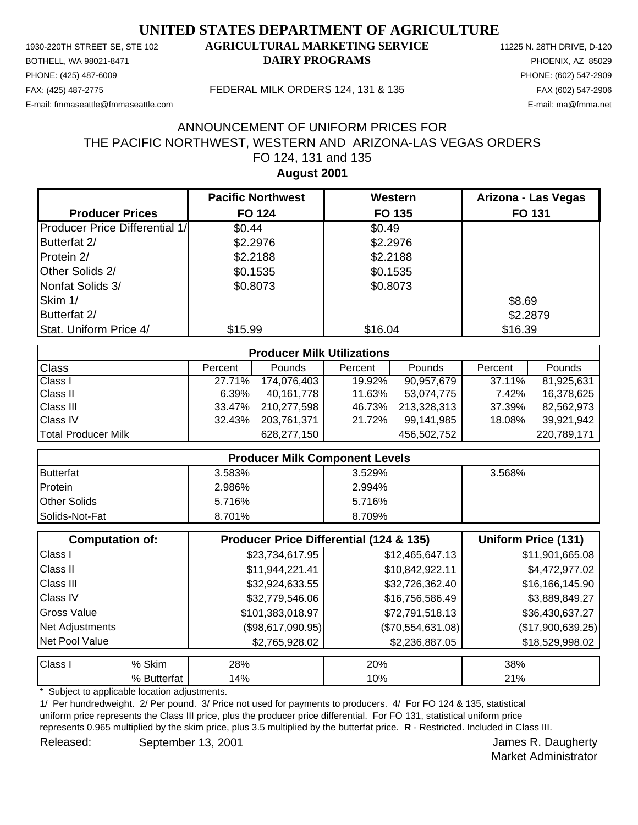PHONE: (425) 487-6009 PHONE: (602) 547-2909 E-mail: fmmaseattle@fmmaseattle.com E-mail: ma@fmma.net

### 1930-220TH STREET SE, STE 102 **AGRICULTURAL MARKETING SERVICE** 11225 N. 28TH DRIVE, D-120 BOTHELL, WA 98021-8471 **DAIRY PROGRAMS** PHOENIX, AZ 85029

#### FAX: (425) 487-2775 FEDERAL MILK ORDERS 124, 131 & 135 FAX (602) 547-2906

# **August 2001** FO 124, 131 and 135 THE PACIFIC NORTHWEST, WESTERN AND ARIZONA-LAS VEGAS ORDERS ANNOUNCEMENT OF UNIFORM PRICES FOR

|                                       | <b>Pacific Northwest</b> | Western  | Arizona - Las Vegas |
|---------------------------------------|--------------------------|----------|---------------------|
| <b>Producer Prices</b>                | <b>FO 124</b>            | FO 135   | <b>FO 131</b>       |
| <b>Producer Price Differential 1/</b> | \$0.44                   | \$0.49   |                     |
| Butterfat 2/                          | \$2.2976                 | \$2.2976 |                     |
| Protein 2/                            | \$2.2188                 | \$2.2188 |                     |
| Other Solids 2/                       | \$0.1535                 | \$0.1535 |                     |
| Nonfat Solids 3/                      | \$0.8073                 | \$0.8073 |                     |
| Skim 1/                               |                          |          | \$8.69              |
| Butterfat 2/                          |                          |          | \$2.2879            |
| Stat. Uniform Price 4/                | \$15.99                  | \$16.04  | \$16.39             |

| <b>Producer Milk Utilizations</b> |         |               |         |               |         |             |
|-----------------------------------|---------|---------------|---------|---------------|---------|-------------|
| <b>Class</b>                      | Percent | <b>Pounds</b> | Percent | <b>Pounds</b> | Percent | Pounds      |
| <b>Class I</b>                    | 27.71%  | 174,076,403   | 19.92%  | 90,957,679    | 37.11%  | 81,925,631  |
| <b>Class II</b>                   | 6.39%   | 40.161.778    | 11.63%  | 53,074,775    | 7.42%   | 16,378,625  |
| <b>Class III</b>                  | 33.47%  | 210.277.598   | 46.73%  | 213,328,313   | 37.39%  | 82,562,973  |
| <b>Class IV</b>                   | 32.43%  | 203.761.371   | 21.72%  | 99,141,985    | 18.08%  | 39,921,942  |
| Total Producer Milk               |         | 628,277,150   |         | 456,502,752   |         | 220,789,171 |

|                     | <b>Producer Milk Component Levels</b> |        |        |
|---------------------|---------------------------------------|--------|--------|
| <b>Butterfat</b>    | 3.583%                                | 3.529% | 3.568% |
| Protein             | 2.986%                                | 2.994% |        |
| <b>Other Solids</b> | 5.716%                                | 5.716% |        |
| Solids-Not-Fat      | 8.701%                                | 8.709% |        |

|                  | <b>Computation of:</b> | Uniform Price (131) |                   |                   |
|------------------|------------------------|---------------------|-------------------|-------------------|
| Class I          |                        | \$23,734,617.95     | \$12,465,647.13   | \$11,901,665.08   |
| <b>Class II</b>  |                        | \$11,944,221.41     | \$10,842,922.11   | \$4,472,977.02    |
| <b>Class III</b> |                        | \$32,924,633.55     | \$32,726,362.40   | \$16,166,145.90   |
| <b>Class IV</b>  |                        | \$32,779,546.06     | \$16,756,586.49   | \$3,889,849.27    |
| Gross Value      |                        | \$101,383,018.97    | \$72,791,518.13   | \$36,430,637.27   |
| Net Adjustments  |                        | (\$98,617,090.95)   | (\$70,554,631.08) | (\$17,900,639.25) |
| Net Pool Value   |                        | \$2,765,928.02      | \$2,236,887.05    | \$18,529,998.02   |
| Class I          | % Skim                 | 28%                 | 20%               | 38%               |
|                  | % Butterfat            | 14%                 | 10%               | 21%               |

Subject to applicable location adjustments.

1/ Per hundredweight. 2/ Per pound. 3/ Price not used for payments to producers. 4/ For FO 124 & 135, statistical uniform price represents the Class III price, plus the producer price differential. For FO 131, statistical uniform price represents 0.965 multiplied by the skim price, plus 3.5 multiplied by the butterfat price. **R** - Restricted. Included in Class III. Released: September 13, 2001 Contract Contract Contract Contract Contract Contract Contract Contract Contract Contract Contract Contract Contract Contract Contract Contract Contract Contract Contract Contract Contract Cont

Market Administrator

September 13, 2001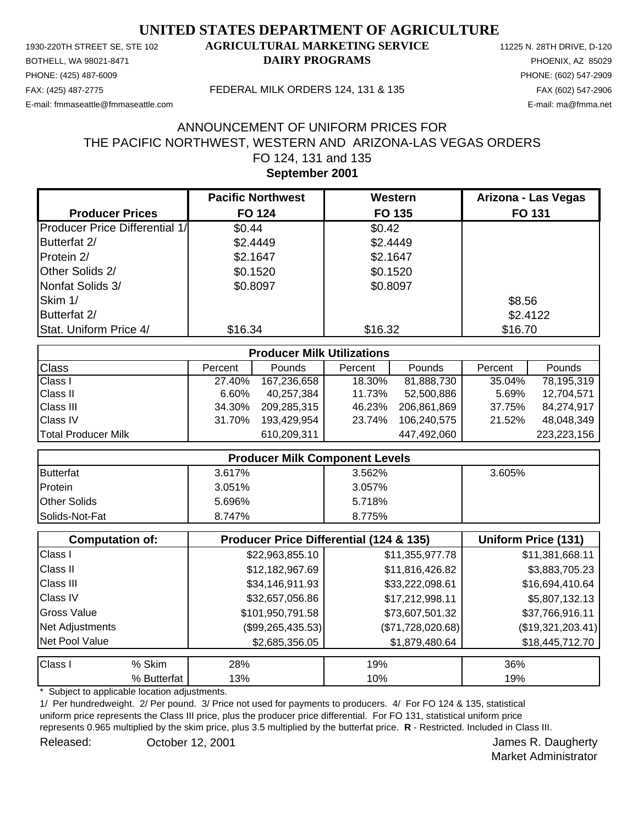PHONE: (425) 487-6009 PHONE: (602) 547-2909 E-mail: fmmaseattle@fmmaseattle.com E-mail: ma@fmma.net

#### 1930-220TH STREET SE, STE 102 **AGRICULTURAL MARKETING SERVICE** 11225 N. 28TH DRIVE, D-120 BOTHELL, WA 98021-8471 **DAIRY PROGRAMS** PHOENIX, AZ 85029

FAX: (425) 487-2775 FEDERAL MILK ORDERS 124, 131 & 135 FAX (602) 547-2906

# **September 2001** FO 124, 131 and 135 THE PACIFIC NORTHWEST, WESTERN AND ARIZONA-LAS VEGAS ORDERS ANNOUNCEMENT OF UNIFORM PRICES FOR

|                                       | <b>Pacific Northwest</b> | Western  | Arizona - Las Vegas |
|---------------------------------------|--------------------------|----------|---------------------|
| <b>Producer Prices</b>                | <b>FO 124</b>            | FO 135   | <b>FO 131</b>       |
| <b>Producer Price Differential 1/</b> | \$0.44                   | \$0.42   |                     |
| Butterfat 2/                          | \$2.4449                 | \$2.4449 |                     |
| Protein 2/                            | \$2.1647                 | \$2.1647 |                     |
| Other Solids 2/                       | \$0.1520                 | \$0.1520 |                     |
| Nonfat Solids 3/                      | \$0.8097                 | \$0.8097 |                     |
| Skim 1/                               |                          |          | \$8.56              |
| Butterfat 2/                          |                          |          | \$2.4122            |
| Stat. Uniform Price 4/                | \$16.34                  | \$16.32  | \$16.70             |

| <b>Producer Milk Utilizations</b> |         |               |         |               |         |               |
|-----------------------------------|---------|---------------|---------|---------------|---------|---------------|
| <b>Class</b>                      | Percent | <b>Pounds</b> | Percent | <b>Pounds</b> | Percent | Pounds        |
| <b>Class I</b>                    | 27.40%  | 167,236,658   | 18.30%  | 81,888,730    | 35.04%  | 78,195,319    |
| <b>Class II</b>                   | 6.60%   | 40,257,384    | 11.73%  | 52,500,886    | 5.69%   | 12,704,571    |
| <b>Class III</b>                  | 34.30%  | 209,285,315   | 46.23%  | 206.861.869   | 37.75%  | 84,274,917    |
| <b>Class IV</b>                   | 31.70%  | 193,429,954   | 23.74%  | 106.240.575   | 21.52%  | 48,048,349    |
| Total Producer Milk               |         | 610,209,311   |         | 447,492,060   |         | 223, 223, 156 |

| <b>Producer Milk Component Levels</b> |        |        |        |
|---------------------------------------|--------|--------|--------|
| Butterfat                             | 3.617% | 3.562% | 3.605% |
| Protein                               | 3.051% | 3.057% |        |
| <b>Other Solids</b>                   | 5.696% | 5.718% |        |
| Solids-Not-Fat                        | 8.747% | 8.775% |        |

|                    | <b>Computation of:</b> | <b>Producer Price Differential (124 &amp; 135)</b> | Uniform Price (131) |                   |
|--------------------|------------------------|----------------------------------------------------|---------------------|-------------------|
| Class I            |                        | \$22,963,855.10                                    | \$11,355,977.78     | \$11,381,668.11   |
| <b>Class II</b>    |                        | \$12,182,967.69                                    | \$11,816,426.82     | \$3,883,705.23    |
| <b>Class III</b>   |                        | \$34,146,911.93                                    | \$33,222,098.61     | \$16,694,410.64   |
| <b>Class IV</b>    |                        | \$32,657,056.86                                    | \$17,212,998.11     | \$5,807,132.13    |
| <b>Gross Value</b> |                        | \$101,950,791.58                                   | \$73,607,501.32     | \$37,766,916.11   |
| Net Adjustments    |                        | $(\$99,265,435.53)$                                | (\$71,728,020.68)   | (\$19,321,203.41) |
| Net Pool Value     |                        | \$2,685,356.05                                     | \$1,879,480.64      | \$18,445,712.70   |
| Class I            | % Skim                 | 28%                                                | 19%                 | 36%               |
|                    | % Butterfat            | 13%                                                | 10%                 | 19%               |

Subject to applicable location adjustments.

1/ Per hundredweight. 2/ Per pound. 3/ Price not used for payments to producers. 4/ For FO 124 & 135, statistical uniform price represents the Class III price, plus the producer price differential. For FO 131, statistical uniform price represents 0.965 multiplied by the skim price, plus 3.5 multiplied by the butterfat price. **R** - Restricted. Included in Class III. Released: Corober 12, 2001 Corober 12, 2001 October 12, 2001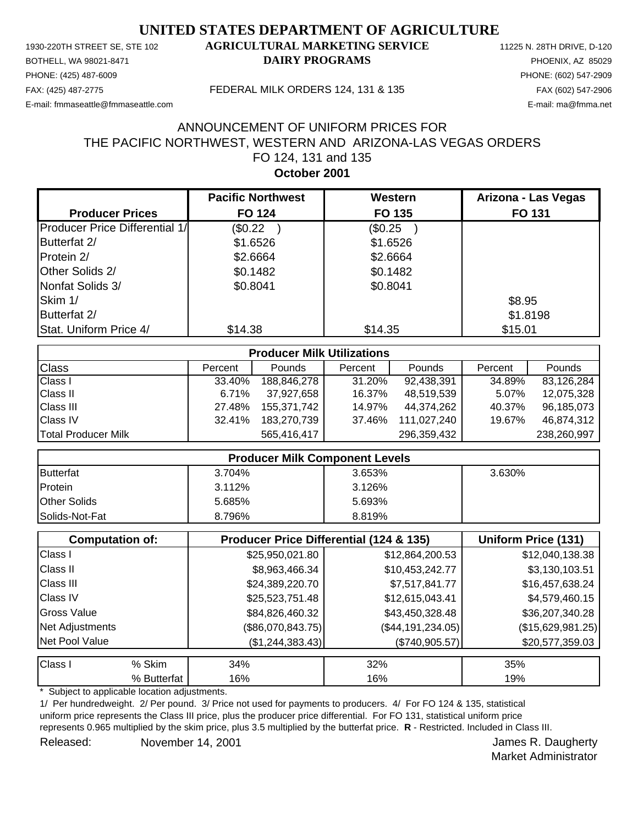PHONE: (425) 487-6009 PHONE: (602) 547-2909 E-mail: fmmaseattle@fmmaseattle.com E-mail: ma@fmma.net

### 1930-220TH STREET SE, STE 102 **AGRICULTURAL MARKETING SERVICE** 11225 N. 28TH DRIVE, D-120 BOTHELL, WA 98021-8471 **DAIRY PROGRAMS** PHOENIX, AZ 85029

FAX: (425) 487-2775 FEDERAL MILK ORDERS 124, 131 & 135 FAX (602) 547-2906

## **October 2001** FO 124, 131 and 135 THE PACIFIC NORTHWEST, WESTERN AND ARIZONA-LAS VEGAS ORDERS ANNOUNCEMENT OF UNIFORM PRICES FOR

|                                       | <b>Pacific Northwest</b> | Western  | Arizona - Las Vegas |
|---------------------------------------|--------------------------|----------|---------------------|
| <b>Producer Prices</b>                | <b>FO 124</b>            | FO 135   | <b>FO 131</b>       |
| <b>Producer Price Differential 1/</b> | (\$0.22                  | (\$0.25  |                     |
| Butterfat 2/                          | \$1.6526                 | \$1.6526 |                     |
| Protein 2/                            | \$2.6664                 | \$2.6664 |                     |
| Other Solids 2/                       | \$0.1482                 | \$0.1482 |                     |
| Nonfat Solids 3/                      | \$0.8041                 | \$0.8041 |                     |
| Skim 1/                               |                          |          | \$8.95              |
| Butterfat 2/                          |                          |          | \$1.8198            |
| Stat. Uniform Price 4/                | \$14.38                  | \$14.35  | \$15.01             |

| <b>Producer Milk Utilizations</b> |         |               |         |               |         |               |
|-----------------------------------|---------|---------------|---------|---------------|---------|---------------|
| <b>Class</b>                      | Percent | <b>Pounds</b> | Percent | <b>Pounds</b> | Percent | <b>Pounds</b> |
| <b>Class I</b>                    | 33.40%  | 188,846,278   | 31.20%  | 92,438,391    | 34.89%  | 83,126,284    |
| <b>Class II</b>                   | 6.71%   | 37,927,658    | 16.37%  | 48,519,539    | 5.07%   | 12,075,328    |
| <b>Class III</b>                  | 27.48%  | 155.371.742   | 14.97%  | 44.374.262    | 40.37%  | 96,185,073    |
| <b>Class IV</b>                   | 32.41%  | 183.270.739   | 37.46%  | 111,027,240   | 19.67%  | 46,874,312    |
| <b>Total Producer Milk</b>        |         | 565,416,417   |         | 296,359,432   |         | 238,260,997   |

| <b>Producer Milk Component Levels</b> |        |        |        |  |
|---------------------------------------|--------|--------|--------|--|
| Butterfat                             | 3.704% | 3.653% | 3.630% |  |
| Protein                               | 3.112% | 3.126% |        |  |
| <b>Other Solids</b>                   | 5.685% | 5.693% |        |  |
| <b>Solids-Not-Fat</b>                 | 8.796% | 8.819% |        |  |

|                  | <b>Computation of:</b> | Producer Price Differential (124 & 135) | Uniform Price (131)   |                   |
|------------------|------------------------|-----------------------------------------|-----------------------|-------------------|
| Class I          |                        | \$25,950,021.80                         | \$12,864,200.53       | \$12,040,138.38   |
| <b>Class II</b>  |                        | \$8,963,466.34                          | \$10,453,242.77       | \$3,130,103.51    |
| <b>Class III</b> |                        | \$24,389,220.70                         | \$7,517,841.77        | \$16,457,638.24   |
| <b>Class IV</b>  |                        | \$25,523,751.48                         | \$12,615,043.41       | \$4,579,460.15    |
| Gross Value      |                        | \$84,826,460.32                         | \$43,450,328.48       | \$36,207,340.28   |
| Net Adjustments  |                        | (\$86,070,843.75)                       | $(\$44, 191, 234.05)$ | (\$15,629,981.25) |
| Net Pool Value   |                        | (\$1,244,383.43)                        | $(\$740,905.57)$      | \$20,577,359.03   |
| Class I          | % Skim                 | 34%                                     | 32%                   | 35%               |
|                  | % Butterfat            | 16%                                     | 16%                   | 19%               |

Subject to applicable location adjustments.

1/ Per hundredweight. 2/ Per pound. 3/ Price not used for payments to producers. 4/ For FO 124 & 135, statistical uniform price represents the Class III price, plus the producer price differential. For FO 131, statistical uniform price represents 0.965 multiplied by the skim price, plus 3.5 multiplied by the butterfat price. **R** - Restricted. Included in Class III. Released: November 14, 2001 and the state of the United States of Aughetty November 14, 2001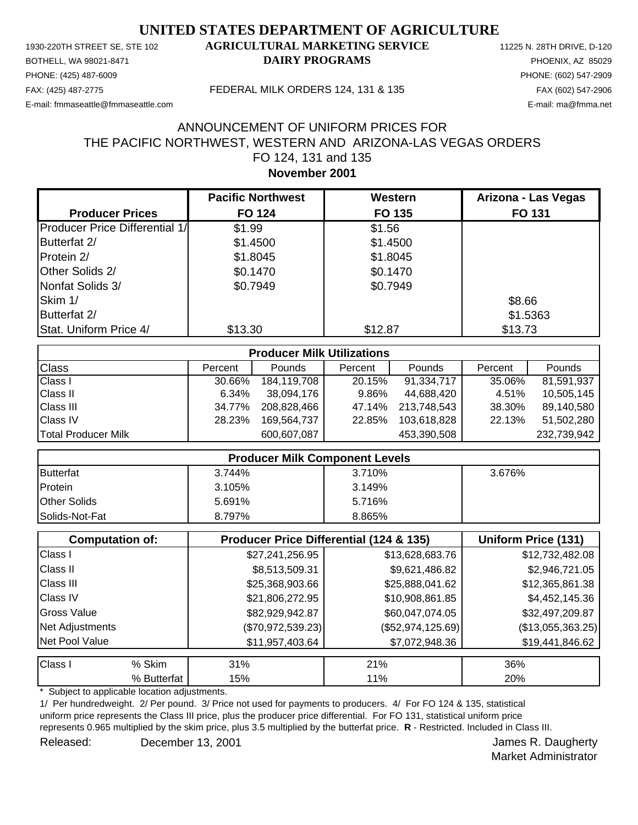PHONE: (425) 487-6009 PHONE: (602) 547-2909 E-mail: fmmaseattle@fmmaseattle.com E-mail: ma@fmma.net

### 1930-220TH STREET SE, STE 102 **AGRICULTURAL MARKETING SERVICE** 11225 N. 28TH DRIVE, D-120 BOTHELL, WA 98021-8471 **DAIRY PROGRAMS** PHOENIX, AZ 85029

#### FAX: (425) 487-2775 FEDERAL MILK ORDERS 124, 131 & 135 FAX (602) 547-2906

## **November 2001** FO 124, 131 and 135 THE PACIFIC NORTHWEST, WESTERN AND ARIZONA-LAS VEGAS ORDERS ANNOUNCEMENT OF UNIFORM PRICES FOR

|                                        | <b>Pacific Northwest</b> | Western  | Arizona - Las Vegas |
|----------------------------------------|--------------------------|----------|---------------------|
| <b>Producer Prices</b>                 | <b>FO 124</b>            | FO 135   | <b>FO 131</b>       |
| <b>Producer Price Differential 1/1</b> | \$1.99                   | \$1.56   |                     |
| Butterfat 2/                           | \$1.4500                 | \$1.4500 |                     |
| Protein 2/                             | \$1.8045                 | \$1.8045 |                     |
| Other Solids 2/                        | \$0.1470                 | \$0.1470 |                     |
| Nonfat Solids 3/                       | \$0.7949                 | \$0.7949 |                     |
| Skim 1/                                |                          |          | \$8.66              |
| Butterfat 2/                           |                          |          | \$1.5363            |
| Stat. Uniform Price 4/                 | \$13.30                  | \$12.87  | \$13.73             |

| <b>Producer Milk Utilizations</b> |         |               |         |               |         |             |
|-----------------------------------|---------|---------------|---------|---------------|---------|-------------|
| <b>Class</b>                      | Percent | <b>Pounds</b> | Percent | <b>Pounds</b> | Percent | Pounds      |
| <b>Class I</b>                    | 30.66%  | 184,119,708   | 20.15%  | 91,334,717    | 35.06%  | 81,591,937  |
| <b>Class II</b>                   | 6.34%   | 38,094,176    | 9.86%   | 44,688,420    | 4.51%   | 10,505,145  |
| <b>Class III</b>                  | 34.77%  | 208,828,466   | 47.14%  | 213,748,543   | 38.30%  | 89,140,580  |
| <b>Class IV</b>                   | 28.23%  | 169.564.737   | 22.85%  | 103,618,828   | 22.13%  | 51,502,280  |
| Total Producer Milk               |         | 600,607,087   |         | 453,390,508   |         | 232,739,942 |

| <b>Producer Milk Component Levels</b> |        |        |        |  |
|---------------------------------------|--------|--------|--------|--|
| Butterfat                             | 3.744% | 3.710% | 3.676% |  |
| Protein                               | 3.105% | 3.149% |        |  |
| <b>Other Solids</b>                   | 5.691% | 5.716% |        |  |
| <b>Solids-Not-Fat</b>                 | 8.797% | 8.865% |        |  |

|                    | <b>Computation of:</b> | <b>Producer Price Differential (124 &amp; 135)</b> |                     | Uniform Price (131) |
|--------------------|------------------------|----------------------------------------------------|---------------------|---------------------|
| Class I            |                        | \$27,241,256.95                                    | \$13,628,683.76     | \$12,732,482.08     |
| <b>Class II</b>    |                        | \$8,513,509.31                                     | \$9,621,486.82      | \$2,946,721.05      |
| <b>Class III</b>   |                        | \$25,368,903.66                                    | \$25,888,041.62     | \$12,365,861.38     |
| <b>Class IV</b>    |                        | \$21,806,272.95                                    | \$10,908,861.85     | \$4,452,145.36      |
| <b>Gross Value</b> |                        | \$82,929,942.87                                    | \$60,047,074.05     | \$32,497,209.87     |
| Net Adjustments    |                        | $(\$70,972,539.23)$                                | $(\$52,974,125.69)$ | (\$13,055,363.25)   |
| Net Pool Value     |                        | \$11,957,403.64                                    | \$7,072,948.36      | \$19,441,846.62     |
| Class I            | % Skim                 | 31%                                                | 21%                 | 36%                 |
|                    | % Butterfat            | 15%                                                | 11%                 | 20%                 |

Subject to applicable location adjustments.

1/ Per hundredweight. 2/ Per pound. 3/ Price not used for payments to producers. 4/ For FO 124 & 135, statistical uniform price represents the Class III price, plus the producer price differential. For FO 131, statistical uniform price represents 0.965 multiplied by the skim price, plus 3.5 multiplied by the butterfat price. **R** - Restricted. Included in Class III. Released: December 13, 2001 Contract Contract Contract Contract Contract Contract Contract Contract Contract Contract Contract Contract Contract Contract Contract Contract Contract Contract Contract Contract Contract Contr

Market Administrator

December 13, 2001